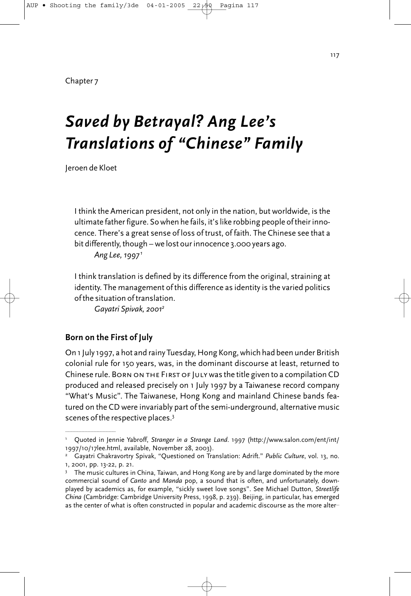Chapter 7

# *Saved by Betrayal? Ang Lee's Translations of "Chinese" Family*

Jeroen de Kloet

I think the American president, not only in the nation, but worldwide, is the ultimate father figure. So when he fails, it's like robbing people of their innocence. There's a great sense of loss of trust, of faith. The Chinese see that a bit differently, though – we lost our innocence 3.000 years ago. *Ang Lee, 1997 <sup>1</sup>*

I think translation is defined by its difference from the original, straining at identity. The management of this difference as identity is the varied politics of the situation of translation.

*Gayatri Spivak, 20012*

# **Born on the First of July**

—————————————————

On 1 July 1997, a hot and rainy Tuesday, Hong Kong, which had been under British colonial rule for 150 years, was, in the dominant discourse at least, returned to Chinese rule. Born on the First of Julywas the title given to a compilation CD produced and released precisely on 1 July 1997 by a Taiwanese record company "What's Music". The Taiwanese, Hong Kong and mainland Chinese bands featured on the CD were invariably part of the semi-underground, alternative music scenes of the respective places.3

<sup>1</sup> Quoted in Jennie Yabroff, *Stranger in a Strange Land*. 1997 (http://www.salon.com/ent/int/ 1997/10/17lee.html, available, November 28, 2003).

<sup>2</sup> Gayatri Chakravortry Spivak, "Questioned on Translation: Adrift." *Public Culture*, vol. 13, no. 1, 2001, pp. 13-22, p. 21.

 $3$  The music cultures in China, Taiwan, and Hong Kong are by and large dominated by the more commercial sound of *Canto* and *Manda* pop, a sound that is often, and unfortunately, downplayed by academics as, for example, "sickly sweet love songs". See Michael Dutton, *Streetlife China* (Cambridge: Cambridge University Press, 1998, p. 239). Beijing, in particular, has emerged as the center of what is often constructed in popular and academic discourse as the more alter—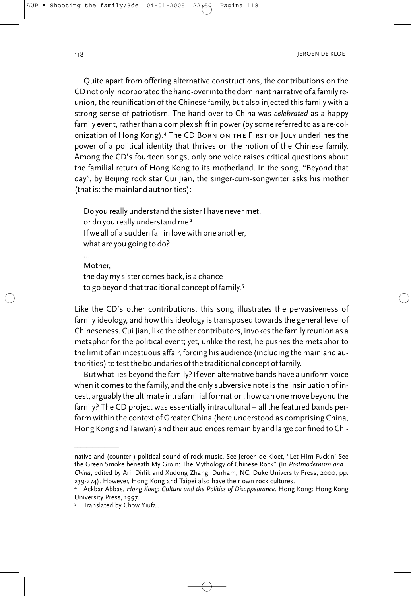Quite apart from offering alternative constructions, the contributions on the CD not only incorporated the hand-over into the dominant narrative of a family reunion, the reunification of the Chinese family, but also injected this family with a strong sense of patriotism. The hand-over to China was *celebrated* as a happy family event, rather than a complex shift in power (by some referred to as a re-colonization of Hong Kong).4 The CD Born on the First of July underlines the power of a political identity that thrives on the notion of the Chinese family. Among the CD's fourteen songs, only one voice raises critical questions about the familial return of Hong Kong to its motherland. In the song, "Beyond that day", by Beijing rock star Cui Jian, the singer-cum-songwriter asks his mother (that is: the mainland authorities):

Do you really understand the sister I have never met, or do you really understand me? If we all of a sudden fall in love with one another, what are you going to do?

......

Mother, the day my sister comes back, is a chance to go beyond that traditional concept of family.<sup>5</sup>

Like the CD's other contributions, this song illustrates the pervasiveness of family ideology, and how this ideology is transposed towards the general level of Chineseness. Cui Jian, like the other contributors, invokes the family reunion as a metaphor for the political event; yet, unlike the rest, he pushes the metaphor to the limit of an incestuous affair, forcing his audience (including the mainland authorities) to test the boundaries of the traditional concept of family.

But what lies beyond the family? If even alternative bands have a uniform voice when it comes to the family, and the only subversive note is the insinuation of incest, arguably the ultimate intrafamilial formation, how can one move beyond the family? The CD project was essentially intracultural – all the featured bands perform within the context of Greater China (here understood as comprising China, Hong Kong and Taiwan) and their audiences remain by and large confined to Chi-

———————————————

native and (counter-) political sound of rock music. See Jeroen de Kloet, "Let Him Fuckin' See the Green Smoke beneath My Groin: The Mythology of Chinese Rock" (In *Postmodernism and* — *China*, edited by Arif Dirlik and Xudong Zhang. Durham, NC: Duke University Press, 2000, pp. 239-274). However, Hong Kong and Taipei also have their own rock cultures.

<sup>4</sup> Ackbar Abbas, *Hong Kong: Culture and the Politics of Disappearance*. Hong Kong: Hong Kong University Press, 1997.

<sup>5</sup> Translated by Chow Yiufai.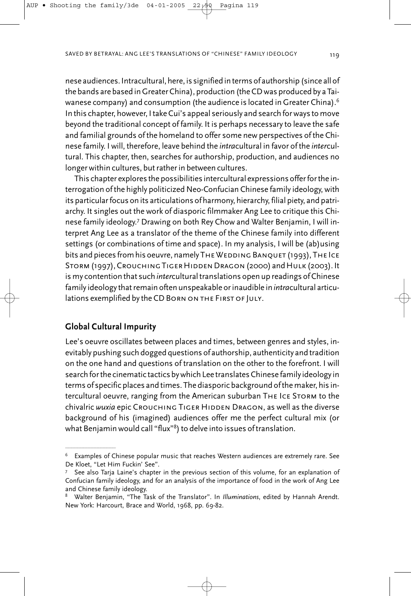nese audiences. Intracultural, here, is signified in terms of authorship (since all of the bands are based in Greater China), production (the CD was produced by a Taiwanese company) and consumption (the audience is located in Greater China).<sup>6</sup> In this chapter, however, I take Cui's appeal seriously and search for ways to move beyond the traditional concept of family. It is perhaps necessary to leave the safe and familial grounds of the homeland to offer some new perspectives of the Chinese family. I will, therefore, leave behind the *intra*cultural in favor of the *inter*cultural. This chapter, then, searches for authorship, production, and audiences no longer within cultures, but rather in between cultures.

This chapter explores the possibilities intercultural expressions offer for the interrogation of the highly politicized Neo-Confucian Chinese family ideology, with its particular focus on its articulations of harmony, hierarchy, filial piety, and patriarchy. It singles out the work of diasporic filmmaker Ang Lee to critique this Chinese family ideology.7 Drawing on both Rey Chow and Walter Benjamin, I will interpret Ang Lee as a translator of the theme of the Chinese family into different settings (or combinations of time and space). In my analysis, I will be (ab)using bits and pieces from his oeuvre, namely THE WEDDING BANQUET (1993), THE ICE Storm(1997), Crouching Tiger Hidden Dragon(2000) and Hulk(2003). It is my contention that such *inter*cultural translations open up readings of Chinese family ideology that remain often unspeakable or inaudible in *intra*cultural articulations exemplified by the CD BORN ON THE FIRST OF JULY.

# **Global Cultural Impurity**

—————————————————

Lee's oeuvre oscillates between places and times, between genres and styles, inevitably pushing such dogged questions of authorship, authenticity and tradition on the one hand and questions of translation on the other to the forefront. I will search for the cinematic tactics by which Lee translates Chinese family ideology in terms of specific places and times. The diasporic background of the maker, his intercultural oeuvre, ranging from the American suburban The Ice Storm to the chivalric *wuxia* epic Crouching Tiger Hidden Dragon, as well as the diverse background of his (imagined) audiences offer me the perfect cultural mix (or what Benjamin would call "flux"8 ) to delve into issues of translation.

 $6$  Examples of Chinese popular music that reaches Western audiences are extremely rare. See De Kloet, "Let Him Fuckin' See".

<sup>7</sup> See also Tarja Laine's chapter in the previous section of this volume, for an explanation of Confucian family ideology, and for an analysis of the importance of food in the work of Ang Lee and Chinese family ideology.

<sup>8</sup> Walter Benjamin, "The Task of the Translator". In *Illuminations*, edited by Hannah Arendt. New York: Harcourt, Brace and World, 1968, pp. 69-82.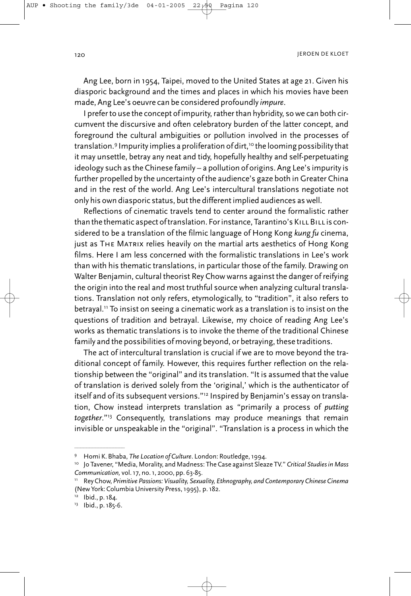AUP • Shooting the family/3de  $04-01-2005$  22;  $\frac{1}{3}$  Pagina 120

Ang Lee, born in 1954, Taipei, moved to the United States at age 21. Given his diasporic background and the times and places in which his movies have been made, Ang Lee's oeuvre can be considered profoundly *impure*.

I prefer to use the concept of impurity, rather than hybridity, so we can both circumvent the discursive and often celebratory burden of the latter concept, and foreground the cultural ambiguities or pollution involved in the processes of translation.<sup>9</sup> Impurity implies a proliferation of dirt,<sup>10</sup> the looming possibility that it may unsettle, betray any neat and tidy, hopefully healthy and self-perpetuating ideology such as the Chinese family – a pollution of origins. Ang Lee's impurity is further propelled by the uncertainty of the audience's gaze both in Greater China and in the rest of the world. Ang Lee's intercultural translations negotiate not only his own diasporic status, but the different implied audiences as well.

Reflections of cinematic travels tend to center around the formalistic rather than the thematic aspect of translation. For instance, Tarantino's KILL BILL is considered to be a translation of the filmic language of Hong Kong *kung fu* cinema, just as THE MATRIX relies heavily on the martial arts aesthetics of Hong Kong films. Here I am less concerned with the formalistic translations in Lee's work than with his thematic translations, in particular those of the family. Drawing on Walter Benjamin, cultural theorist Rey Chow warns against the danger of reifying the origin into the real and most truthful source when analyzing cultural translations. Translation not only refers, etymologically, to "tradition", it also refers to betrayal.11 To insist on seeing a cinematic work as a translation is to insist on the questions of tradition and betrayal. Likewise, my choice of reading Ang Lee's works as thematic translations is to invoke the theme of the traditional Chinese family and the possibilities of moving beyond, or betraying, these traditions.

The act of intercultural translation is crucial if we are to move beyond the traditional concept of family. However, this requires further reflection on the relationship between the "original" and its translation. "It is assumed that the value of translation is derived solely from the 'original,' which is the authenticator of itself and of its subsequent versions."12 Inspired by Benjamin's essay on translation, Chow instead interprets translation as "primarily a process of *putting together*."13 Consequently, translations may produce meanings that remain invisible or unspeakable in the "original". "Translation is a process in which the

—————————————————

<sup>9</sup> Homi K. Bhaba, *The Location of Culture*. London: Routledge, 1994.

<sup>10</sup> Jo Tavener, "Media, Morality, and Madness: The Case against Sleaze TV." *Critical Studies in Mass Communication,* vol. 17, no. 1, 2000, pp. 63-85.

<sup>11</sup> Rey Chow, *Primitive Passions: Visuality, Sexuality, Ethnography, and Contemporary Chinese Cinema* (New York: Columbia University Press, 1995), p. 182.

<sup>&</sup>lt;sup>12</sup> Ibid., p. 184.

<sup>13</sup> Ibid., p. 185-6.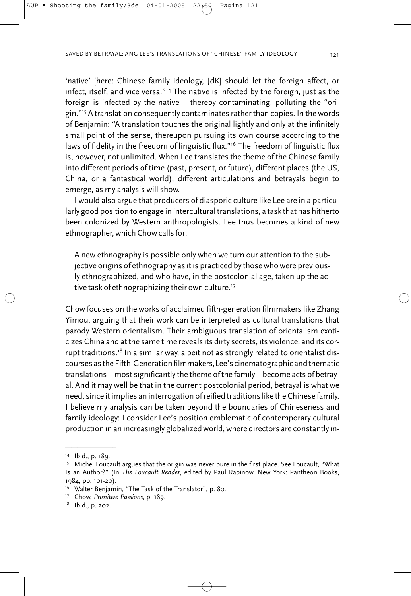'native' [here: Chinese family ideology, JdK] should let the foreign affect, or infect, itself, and vice versa."14 The native is infected by the foreign, just as the foreign is infected by the native – thereby contaminating, polluting the "origin."15 A translation consequently contaminates rather than copies. In the words of Benjamin: "A translation touches the original lightly and only at the infinitely small point of the sense, thereupon pursuing its own course according to the laws of fidelity in the freedom of linguistic flux."<sup>16</sup> The freedom of linguistic flux is, however, not unlimited. When Lee translates the theme of the Chinese family into different periods of time (past, present, or future), different places (the US, China, or a fantastical world), different articulations and betrayals begin to emerge, as my analysis will show.

I would also argue that producers of diasporic culture like Lee are in a particularly good position to engage in intercultural translations, a task that has hitherto been colonized by Western anthropologists. Lee thus becomes a kind of new ethnographer, which Chow calls for:

A new ethnography is possible only when we turn our attention to the subjective origins of ethnography as it is practiced by those who were previously ethnographized, and who have, in the postcolonial age, taken up the active task of ethnographizing their own culture.<sup>17</sup>

Chow focuses on the works of acclaimed fifth-generation filmmakers like Zhang Yimou, arguing that their work can be interpreted as cultural translations that parody Western orientalism. Their ambiguous translation of orientalism exoticizes China and at the same time reveals its dirty secrets, its violence, and its corrupt traditions.<sup>18</sup> In a similar way, albeit not as strongly related to orientalist discourses as the Fifth-Generation filmmakers,Lee's cinematographic and thematic translations – most significantly the theme of the family – become acts of betrayal. And it may well be that in the current postcolonial period, betrayal is what we need, since it implies an interrogation of reified traditions like the Chinese family. I believe my analysis can be taken beyond the boundaries of Chineseness and family ideology: I consider Lee's position emblematic of contemporary cultural production in an increasingly globalized world, where directors are constantly in-

<sup>—————————————————</sup> <sup>14</sup> Ibid., p. 189.

<sup>&</sup>lt;sup>15</sup> Michel Foucault argues that the origin was never pure in the first place. See Foucault, "What Is an Author?" (In *The Foucault Reader*, edited by Paul Rabinow. New York: Pantheon Books, 1984, pp. 101-20).

<sup>&</sup>lt;sup>16</sup> Walter Benjamin, "The Task of the Translator", p. 80.

<sup>17</sup> Chow, *Primitive Passions*, p. 189.

<sup>&</sup>lt;sup>18</sup> Ibid., p. 202.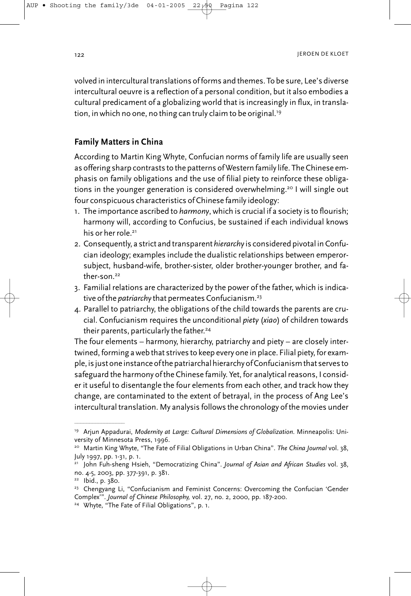volved in intercultural translations of forms and themes. To be sure, Lee's diverse intercultural oeuvre is a reflection of a personal condition, but it also embodies a cultural predicament of a globalizing world that is increasingly in flux, in translation, in which no one, no thing can truly claim to be original.<sup>19</sup>

# **Family Matters in China**

According to Martin King Whyte, Confucian norms of family life are usually seen as offering sharp contrasts to the patterns of Western family life. The Chinese emphasis on family obligations and the use of filial piety to reinforce these obligations in the younger generation is considered overwhelming.<sup>20</sup> I will single out four conspicuous characteristics of Chinese family ideology:

- 1. The importance ascribed to *harmony*, which is crucial if a society is to flourish; harmony will, according to Confucius, be sustained if each individual knows his or her role.<sup>21</sup>
- 2. Consequently, a strict and transparent *hierarchy* is considered pivotal in Confucian ideology; examples include the dualistic relationships between emperorsubject, husband-wife, brother-sister, older brother-younger brother, and father-son.22
- 3. Familial relations are characterized by the power of the father, which is indicative of the *patriarchy* that permeates Confucianism.<sup>23</sup>
- 4. Parallel to patriarchy, the obligations of the child towards the parents are crucial. Confucianism requires the unconditional *piety* (*xiao*) of children towards their parents, particularly the father.<sup>24</sup>

The four elements – harmony, hierarchy, patriarchy and piety – are closely intertwined, forming a web that strives to keep every one in place. Filial piety, for example, is just one instance of the patriarchal hierarchy of Confucianism that serves to safeguard the harmony of the Chinese family. Yet, for analytical reasons, I consider it useful to disentangle the four elements from each other, and track how they change, are contaminated to the extent of betrayal, in the process of Ang Lee's intercultural translation. My analysis follows the chronology of the movies under

—————————————————

<sup>19</sup> Arjun Appadurai, *Modernity at Large: Cultural Dimensions of Globalization*. Minneapolis: University of Minnesota Press, 1996.

<sup>&</sup>lt;sup>20</sup> Martin King Whyte, "The Fate of Filial Obligations in Urban China". The China Journal vol. 38, July 1997, pp. 1-31, p. 1.

<sup>21</sup> John Fuh-sheng Hsieh, "Democratizing China". *Journal of Asian and African Studies* vol. 38, no. 4-5, 2003, pp. 377-391, p. 381.

<sup>22</sup> Ibid., p. 380.

<sup>&</sup>lt;sup>23</sup> Chengyang Li, "Confucianism and Feminist Concerns: Overcoming the Confucian 'Gender Complex'". *Journal of Chinese Philosophy,* vol. 27, no. 2, 2000, pp. 187-200.

<sup>24</sup> Whyte, "The Fate of Filial Obligations", p. 1.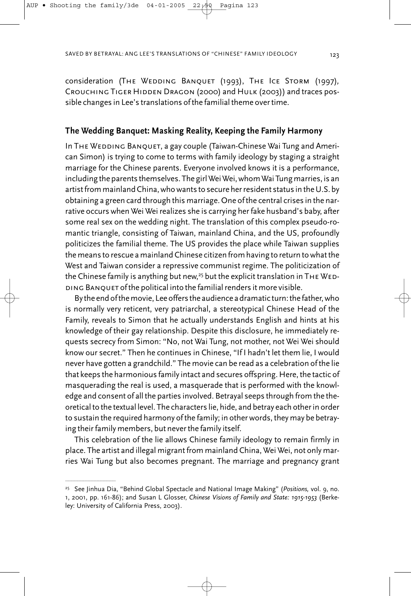sible changes in Lee's translations of the familial theme over time.

consideration (The Wedding Banquet (1993), The Ice Storm (1997)*,* Crouching Tiger Hidden Dragon (2000) and Hulk (2003)) and traces pos-

## **The Wedding Banquet: Masking Reality, Keeping the Family Harmony**

In THE WEDDING BANQUET, a gay couple (Taiwan-Chinese Wai Tung and American Simon) is trying to come to terms with family ideology by staging a straight marriage for the Chinese parents. Everyone involved knows it is a performance, including the parents themselves. The girl Wei Wei, whom Wai Tung marries, is an artist from mainland China, who wants to secure her resident status in the U.S. by obtaining a green card through this marriage. One of the central crises in the narrative occurs when Wei Wei realizes she is carrying her fake husband's baby, after some real sex on the wedding night. The translation of this complex pseudo-romantic triangle, consisting of Taiwan, mainland China, and the US, profoundly politicizes the familial theme. The US provides the place while Taiwan supplies the means to rescue a mainland Chinese citizen from having to return to what the West and Taiwan consider a repressive communist regime. The politicization of the Chinese family is anything but new,<sup>25</sup> but the explicit translation in THE WEDding Banquet of the political into the familial renders it more visible.

By the end of the movie, Lee offers the audience a dramatic turn: the father, who is normally very reticent, very patriarchal, a stereotypical Chinese Head of the Family, reveals to Simon that he actually understands English and hints at his knowledge of their gay relationship. Despite this disclosure, he immediately requests secrecy from Simon: "No, not Wai Tung, not mother, not Wei Wei should know our secret." Then he continues in Chinese, "If I hadn't let them lie, I would never have gotten a grandchild." The movie can be read as a celebration of the lie that keeps the harmonious family intact and secures offspring. Here, the tactic of masquerading the real is used, a masquerade that is performed with the knowledge and consent of all the parties involved. Betrayal seeps through from the theoretical to the textual level. The characters lie, hide, and betray each other in order to sustain the required harmony of the family; in other words, they may be betraying their family members, but never the family itself.

This celebration of the lie allows Chinese family ideology to remain firmly in place. The artist and illegal migrant from mainland China, Wei Wei, not only marries Wai Tung but also becomes pregnant. The marriage and pregnancy grant

—————————————————

<sup>25</sup> See Jinhua Dia, "Behind Global Spectacle and National Image Making" (*Positions,* vol. 9, no. 1, 2001, pp. 161-86); and Susan L Glosser, *Chinese Visions of Family and State: 1915-1953* (Berkeley: University of California Press, 2003).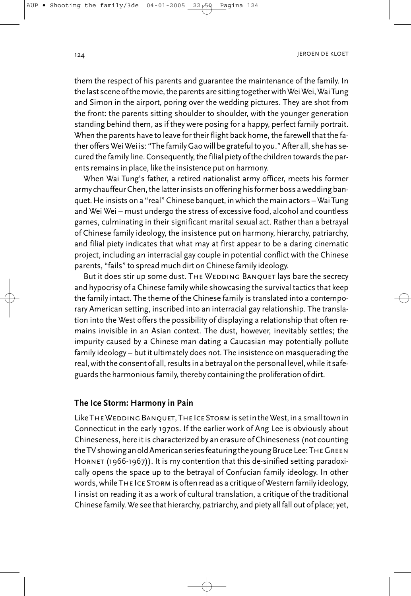them the respect of his parents and guarantee the maintenance of the family. In the last scene of the movie, the parents are sitting together with Wei Wei, Wai Tung and Simon in the airport, poring over the wedding pictures. They are shot from the front: the parents sitting shoulder to shoulder, with the younger generation standing behind them, as if they were posing for a happy, perfect family portrait. When the parents have to leave for their flight back home, the farewell that the father offers Wei Wei is: "The family Gao will be grateful to you." After all, she has secured the family line. Consequently, the filial piety of the children towards the parents remains in place, like the insistence put on harmony.

When Wai Tung's father, a retired nationalist army officer, meets his former army chauffeur Chen, the latter insists on offering his former boss a wedding banquet. He insists on a "real" Chinese banquet, in which the main actors – Wai Tung and Wei Wei – must undergo the stress of excessive food, alcohol and countless games, culminating in their significant marital sexual act. Rather than a betrayal of Chinese family ideology, the insistence put on harmony, hierarchy, patriarchy, and filial piety indicates that what may at first appear to be a daring cinematic project, including an interracial gay couple in potential conflict with the Chinese parents, "fails" to spread much dirt on Chinese family ideology.

But it does stir up some dust. The WEDDING BANQUET lays bare the secrecy and hypocrisy of a Chinese family while showcasing the survival tactics that keep the family intact. The theme of the Chinese family is translated into a contemporary American setting, inscribed into an interracial gay relationship. The translation into the West offers the possibility of displaying a relationship that often remains invisible in an Asian context. The dust, however, inevitably settles; the impurity caused by a Chinese man dating a Caucasian may potentially pollute family ideology – but it ultimately does not. The insistence on masquerading the real, with the consent of all, results in a betrayal on the personal level, while it safeguards the harmonious family, thereby containing the proliferation of dirt.

### **The Ice Storm: Harmony in Pain**

Like THE WEDDING BANQUET, THE ICE STORM is set in the West, in a small town in Connecticut in the early 1970s. If the earlier work of Ang Lee is obviously about Chineseness, here it is characterized by an erasure of Chineseness (not counting the TV showing an old American series featuring the young Bruce Lee: The Green HORNET (1966-1967)). It is my contention that this de-sinified setting paradoxically opens the space up to the betrayal of Confucian family ideology. In other words, while The Ice Stormis often read as a critique of Western family ideology, I insist on reading it as a work of cultural translation, a critique of the traditional Chinese family. We see that hierarchy, patriarchy, and piety all fall out of place; yet,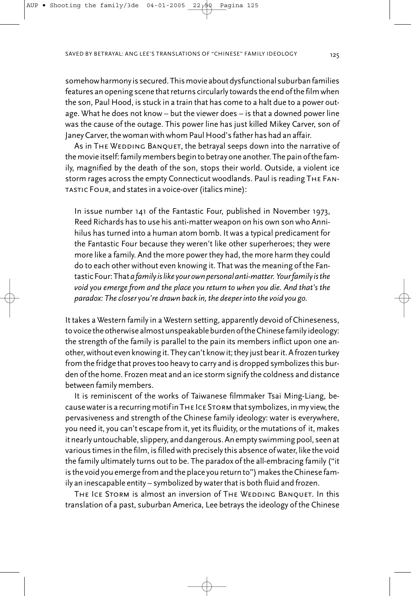somehow harmony is secured. This movie about dysfunctional suburban families features an opening scene that returns circularly towards the end of the film when the son, Paul Hood, is stuck in a train that has come to a halt due to a power outage. What he does not know – but the viewer does – is that a downed power line was the cause of the outage. This power line has just killed Mikey Carver, son of Janey Carver, the woman with whom Paul Hood's father has had an affair.

As in THE WEDDING BANQUET, the betrayal seeps down into the narrative of the movie itself: family members begin to betray one another. The pain of the family, magnified by the death of the son, stops their world. Outside, a violent ice storm rages across the empty Connecticut woodlands. Paul is reading The Fantastic Four, and states in a voice-over (italics mine):

In issue number 141 of the Fantastic Four, published in November 1973, Reed Richards has to use his anti-matter weapon on his own son who Annihilus has turned into a human atom bomb. It was a typical predicament for the Fantastic Four because they weren't like other superheroes; they were more like a family. And the more power they had, the more harm they could do to each other without even knowing it. That was the meaning of the Fantastic Four: That *a family is like your own personal anti-matter. Your family is the void you emerge from and the place you return to when you die. And that's the paradox: The closer you're drawn back in, the deeper into the void you go.*

It takes a Western family in a Western setting, apparently devoid of Chineseness, to voice the otherwise almost unspeakable burden of the Chinese family ideology: the strength of the family is parallel to the pain its members inflict upon one another, without even knowing it. They can't know it; they just bear it. A frozen turkey from the fridge that proves too heavy to carry and is dropped symbolizes this burden of the home. Frozen meat and an ice storm signify the coldness and distance between family members.

It is reminiscent of the works of Taiwanese filmmaker Tsai Ming-Liang, because water is a recurring motif in THE ICE STORM that symbolizes, in my view, the pervasiveness and strength of the Chinese family ideology: water is everywhere, you need it, you can't escape from it, yet its fluidity, or the mutations of it, makes it nearly untouchable, slippery, and dangerous. An empty swimming pool, seen at various times in the film, is filled with precisely this absence of water, like the void the family ultimately turns out to be. The paradox of the all-embracing family ("it is the void you emerge from and the place you return to") makes the Chinese family an inescapable entity – symbolized by water that is both fluid and frozen.

The Ice Storm is almost an inversion of The Wedding Banquet. In this translation of a past, suburban America, Lee betrays the ideology of the Chinese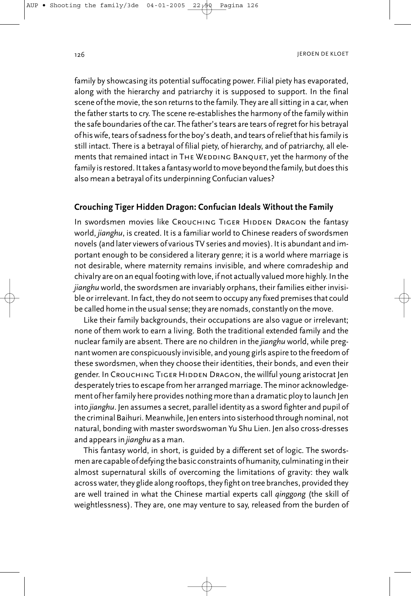family by showcasing its potential suffocating power. Filial piety has evaporated, along with the hierarchy and patriarchy it is supposed to support. In the final scene of the movie, the son returns to the family. They are all sitting in a car, when the father starts to cry. The scene re-establishes the harmony of the family within the safe boundaries of the car. The father's tears are tears of regret for his betrayal of his wife, tears of sadness for the boy's death, and tears of relief that his family is still intact. There is a betrayal of filial piety, of hierarchy, and of patriarchy, all elements that remained intact in THE WEDDING BANQUET, yet the harmony of the family is restored. It takes a fantasy world to move beyond the family, but does this also mean a betrayal of its underpinning Confucian values?

# **Crouching Tiger Hidden Dragon: Confucian Ideals Without the Family**

In swordsmen movies like Crouching Tiger Hippen Dragon the fantasy world, *jianghu*, is created. It is a familiar world to Chinese readers of swordsmen novels (and later viewers of various TV series and movies). It is abundant and important enough to be considered a literary genre; it is a world where marriage is not desirable, where maternity remains invisible, and where comradeship and chivalry are on an equal footing with love, if not actually valued more highly. In the *jianghu* world, the swordsmen are invariably orphans, their families either invisible or irrelevant. In fact, they do not seem to occupy any fixed premises that could be called home in the usual sense; they are nomads, constantly on the move.

Like their family backgrounds, their occupations are also vague or irrelevant; none of them work to earn a living. Both the traditional extended family and the nuclear family are absent. There are no children in the *jianghu* world, while pregnant women are conspicuously invisible, and young girls aspire to the freedom of these swordsmen, when they choose their identities, their bonds, and even their gender. In Crouching Tiger Hidden Dragon, the willful young aristocrat Jen desperately tries to escape from her arranged marriage. The minor acknowledgement of her family here provides nothing more than a dramatic ploy to launch Jen into *jianghu*. Jen assumes a secret, parallel identity as a sword fighter and pupil of the criminal Baihuri. Meanwhile, Jen enters into sisterhood through nominal, not natural, bonding with master swordswoman Yu Shu Lien. Jen also cross-dresses and appears in *jianghu* as a man.

This fantasy world, in short, is guided by a different set of logic. The swordsmen are capable of defying the basic constraints of humanity, culminating in their almost supernatural skills of overcoming the limitations of gravity: they walk across water, they glide along rooftops, they fight on tree branches, provided they are well trained in what the Chinese martial experts call *qinggong* (the skill of weightlessness). They are, one may venture to say, released from the burden of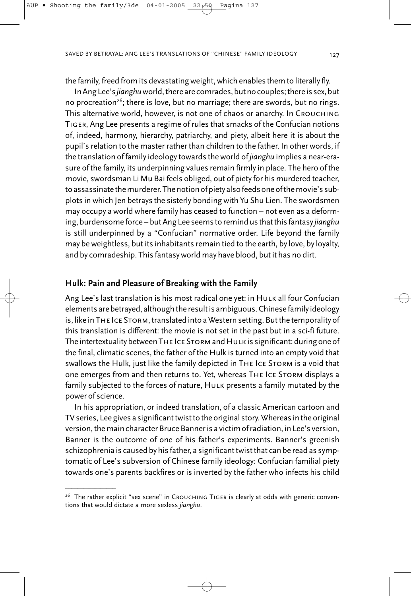the family, freed from its devastating weight, which enables them to literally fly.

In Ang Lee's *jianghu*world, there are comrades, but no couples; there is sex, but no procreation<sup>26</sup>; there is love, but no marriage; there are swords, but no rings. This alternative world, however, is not one of chaos or anarchy. In Crouching Tiger, Ang Lee presents a regime of rules that smacks of the Confucian notions of, indeed, harmony, hierarchy, patriarchy, and piety, albeit here it is about the pupil's relation to the master rather than children to the father. In other words, if the translation of family ideology towards the world of *jianghu* implies a near-erasure of the family, its underpinning values remain firmly in place. The hero of the movie, swordsman Li Mu Bai feels obliged, out of piety for his murdered teacher, to assassinate the murderer. The notion of piety also feeds one of the movie's subplots in which Jen betrays the sisterly bonding with Yu Shu Lien. The swordsmen may occupy a world where family has ceased to function – not even as a deforming, burdensome force – but Ang Lee seems to remind us that this fantasy *jianghu* is still underpinned by a "Confucian" normative order. Life beyond the family may be weightless, but its inhabitants remain tied to the earth, by love, by loyalty, and by comradeship. This fantasy world may have blood, but it has no dirt.

## **Hulk: Pain and Pleasure of Breaking with the Family**

—————————————————

Ang Lee's last translation is his most radical one yet: in HULK all four Confucian elements are betrayed, although the result is ambiguous. Chinese family ideology is, like in The Ice Storm, translated into a Western setting. But the temporality of this translation is different: the movie is not set in the past but in a sci-fi future. The intertextuality between THE ICE STORM and HULK is significant: during one of the final, climatic scenes, the father of the Hulk is turned into an empty void that swallows the Hulk, just like the family depicted in The Ice Storm is a void that one emerges from and then returns to. Yet, whereas The Ice Storm displays a family subjected to the forces of nature, HULK presents a family mutated by the power of science.

In his appropriation, or indeed translation, of a classic American cartoon and TV series, Lee gives a significant twist to the original story. Whereas in the original version, the main character Bruce Banner is a victim of radiation, in Lee's version, Banner is the outcome of one of his father's experiments. Banner's greenish schizophrenia is caused by his father, a significant twist that can be read as symptomatic of Lee's subversion of Chinese family ideology: Confucian familial piety towards one's parents backfires or is inverted by the father who infects his child

<sup>&</sup>lt;sup>26</sup> The rather explicit "sex scene" in Crouching Tiger is clearly at odds with generic conventions that would dictate a more sexless *jianghu*.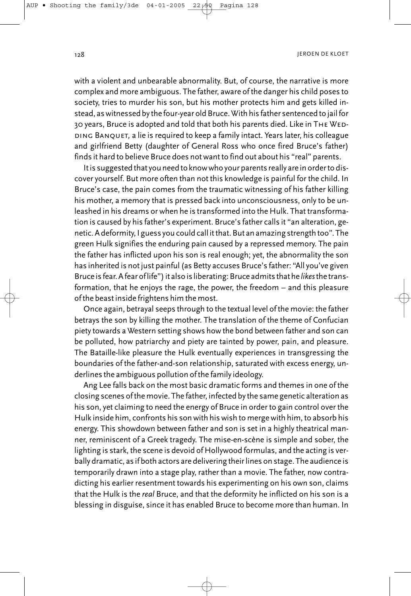with a violent and unbearable abnormality. But, of course, the narrative is more complex and more ambiguous. The father, aware of the danger his child poses to society, tries to murder his son, but his mother protects him and gets killed instead, as witnessed by the four-year old Bruce. With his father sentenced to jail for 30 years, Bruce is adopted and told that both his parents died. Like in THE WEDding Banquet*,* a lie is required to keep a family intact. Years later, his colleague and girlfriend Betty (daughter of General Ross who once fired Bruce's father) finds it hard to believe Bruce does not want to find out about his "real" parents.

It is suggested that you need to know who your parents really are in order to discover yourself. But more often than not this knowledge is painful for the child. In Bruce's case, the pain comes from the traumatic witnessing of his father killing his mother, a memory that is pressed back into unconsciousness, only to be unleashed in his dreams or when he is transformed into the Hulk. That transformation is caused by his father's experiment. Bruce's father calls it "an alteration, genetic. A deformity, I guess you could call it that. But an amazing strength too". The green Hulk signifies the enduring pain caused by a repressed memory. The pain the father has inflicted upon his son is real enough; yet, the abnormality the son has inherited is not just painful (as Betty accuses Bruce's father: "All you've given Bruce is fear. A fear of life") it also is liberating: Bruce admits that he *likes* the transformation, that he enjoys the rage, the power, the freedom – and this pleasure of the beast inside frightens him the most.

Once again, betrayal seeps through to the textual level of the movie: the father betrays the son by killing the mother. The translation of the theme of Confucian piety towards a Western setting shows how the bond between father and son can be polluted, how patriarchy and piety are tainted by power, pain, and pleasure. The Bataille-like pleasure the Hulk eventually experiences in transgressing the boundaries of the father-and-son relationship, saturated with excess energy, underlines the ambiguous pollution of the family ideology.

Ang Lee falls back on the most basic dramatic forms and themes in one of the closing scenes of the movie. The father, infected by the same genetic alteration as his son, yet claiming to need the energy of Bruce in order to gain control over the Hulk inside him, confronts his son with his wish to merge with him, to absorb his energy. This showdown between father and son is set in a highly theatrical manner, reminiscent of a Greek tragedy. The mise-en-scène is simple and sober, the lighting is stark, the scene is devoid of Hollywood formulas, and the acting is verbally dramatic, as if both actors are delivering their lines on stage. The audience is temporarily drawn into a stage play, rather than a movie. The father, now contradicting his earlier resentment towards his experimenting on his own son, claims that the Hulk is the *real* Bruce, and that the deformity he inflicted on his son is a blessing in disguise, since it has enabled Bruce to become more than human. In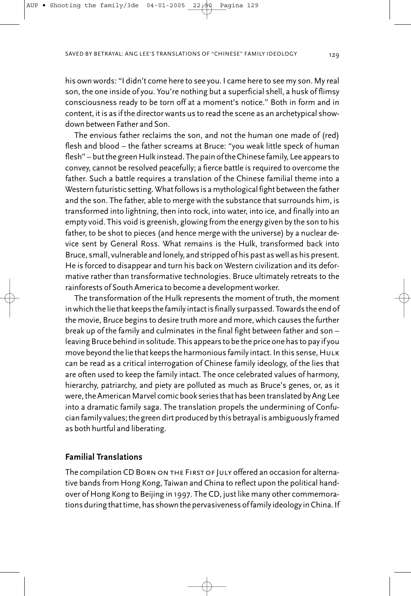his own words: "I didn't come here to see you. I came here to see my son. My real son, the one inside of you. You're nothing but a superficial shell, a husk of flimsy consciousness ready to be torn off at a moment's notice." Both in form and in content, it is as if the director wants us to read the scene as an archetypical showdown between Father and Son.

The envious father reclaims the son, and not the human one made of (red) flesh and blood – the father screams at Bruce: "you weak little speck of human flesh" – but the green Hulk instead. The pain of the Chinese family, Lee appears to convey, cannot be resolved peacefully; a fierce battle is required to overcome the father. Such a battle requires a translation of the Chinese familial theme into a Western futuristic setting. What follows is a mythological fight between the father and the son. The father, able to merge with the substance that surrounds him, is transformed into lightning, then into rock, into water, into ice, and finally into an empty void. This void is greenish, glowing from the energy given by the son to his father, to be shot to pieces (and hence merge with the universe) by a nuclear device sent by General Ross. What remains is the Hulk, transformed back into Bruce, small, vulnerable and lonely, and stripped of his past as well as his present. He is forced to disappear and turn his back on Western civilization and its deformative rather than transformative technologies. Bruce ultimately retreats to the rainforests of South America to become a development worker.

The transformation of the Hulk represents the moment of truth, the moment in which the lie that keeps the family intact is finally surpassed. Towards the end of the movie, Bruce begins to desire truth more and more, which causes the further break up of the family and culminates in the final fight between father and son – leaving Bruce behind in solitude. This appears to be the price one has to pay if you move beyond the lie that keeps the harmonious family intact. In this sense, HULK can be read as a critical interrogation of Chinese family ideology, of the lies that are often used to keep the family intact. The once celebrated values of harmony, hierarchy, patriarchy, and piety are polluted as much as Bruce's genes, or, as it were, the American Marvel comic book series that has been translated by Ang Lee into a dramatic family saga. The translation propels the undermining of Confucian family values; the green dirt produced by this betrayal is ambiguously framed as both hurtful and liberating.

## **Familial Translations**

The compilation CD Born on the First of July offered an occasion for alternative bands from Hong Kong, Taiwan and China to reflect upon the political handover of Hong Kong to Beijing in 1997. The CD, just like many other commemorations during that time, has shown the pervasiveness of family ideology in China. If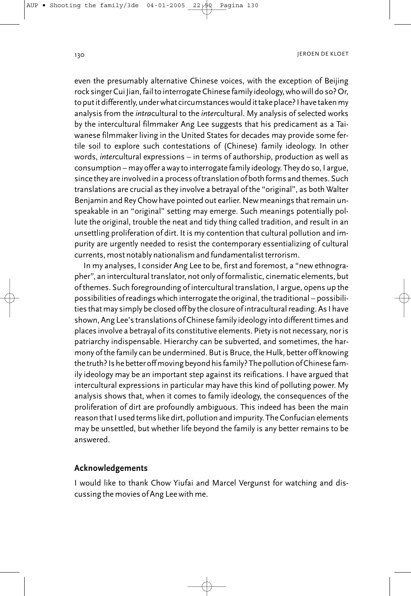even the presumably alternative Chinese voices, with the exception of Beijing rock singer Cui Jian, fail to interrogate Chinese family ideology, who will do so? Or, to put it differently, under what circumstances would it take place? I have taken my analysis from the *intra*cultural to the *inter*cultural. My analysis of selected works by the intercultural filmmaker Ang Lee suggests that his predicament as a Taiwanese filmmaker living in the United States for decades may provide some fertile soil to explore such contestations of (Chinese) family ideology. In other words, *inter*cultural expressions – in terms of authorship, production as well as consumption – may offer a way to interrogate family ideology. They do so, I argue, since they are involved in a process of translation of both forms and themes. Such translations are crucial as they involve a betrayal of the "original", as both Walter Benjamin and Rey Chow have pointed out earlier. New meanings that remain unspeakable in an "original" setting may emerge. Such meanings potentially pollute the original, trouble the neat and tidy thing called tradition, and result in an unsettling proliferation of dirt. It is my contention that cultural pollution and impurity are urgently needed to resist the contemporary essentializing of cultural currents, most notably nationalism and fundamentalist terrorism.

In my analyses, I consider Ang Lee to be, first and foremost, a "new ethnographer", an intercultural translator, not only of formalistic, cinematic elements, but of themes. Such foregrounding of intercultural translation, I argue, opens up the possibilities of readings which interrogate the original, the traditional – possibilities that may simply be closed off by the closure of intracultural reading. As I have shown, Ang Lee's translations of Chinese family ideology into different times and places involve a betrayal of its constitutive elements. Piety is not necessary, nor is patriarchy indispensable. Hierarchy can be subverted, and sometimes, the harmony of the family can be undermined. But is Bruce, the Hulk, better off knowing the truth? Is he better off moving beyond his family? The pollution of Chinese family ideology may be an important step against its reifications. I have argued that intercultural expressions in particular may have this kind of polluting power. My analysis shows that, when it comes to family ideology, the consequences of the proliferation of dirt are profoundly ambiguous. This indeed has been the main reason that I used terms like dirt, pollution and impurity. The Confucian elements may be unsettled, but whether life beyond the family is any better remains to be answered.

## **Acknowledgements**

I would like to thank Chow Yiufai and Marcel Vergunst for watching and discussing the movies of Ang Lee with me.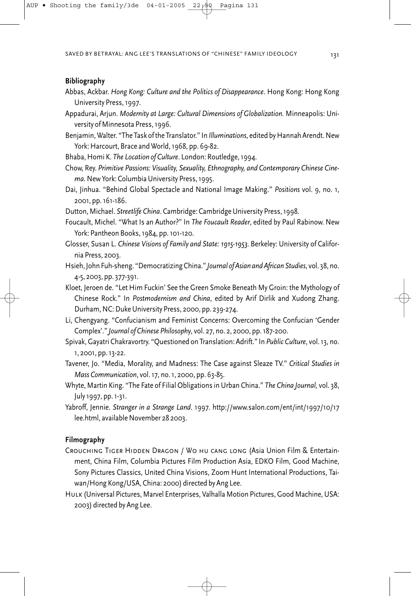#### **Bibliography**

- Abbas, Ackbar. *Hong Kong: Culture and the Politics of Disappearance*. Hong Kong: Hong Kong University Press, 1997.
- Appadurai, Arjun. *Modernity at Large: Cultural Dimensions of Globalization.* Minneapolis: University of Minnesota Press, 1996.
- Benjamin, Walter. "The Task of the Translator." In *Illuminations*, edited by Hannah Arendt. New York: Harcourt, Brace and World, 1968, pp. 69-82.
- Bhaba, Homi K. *The Location of Culture*. London: Routledge, 1994.
- Chow, Rey. *Primitive Passions: Visuality, Sexuality, Ethnography, and Contemporary Chinese Cinema.* New York: Columbia University Press, 1995.
- Dai, Jinhua. "Behind Global Spectacle and National Image Making." *Positions* vol. 9, no. 1, 2001, pp. 161-186.
- Dutton, Michael. *Streetlife China*. Cambridge: Cambridge University Press, 1998.
- Foucault, Michel. "What Is an Author?" In *The Foucault Reader*, edited by Paul Rabinow. New York: Pantheon Books, 1984, pp. 101-120.
- Glosser, Susan L. *Chinese Visions of Family and State: 1915-1953*. Berkeley: University of California Press, 2003.
- Hsieh, John Fuh-sheng. "Democratizing China." *Journal of Asian and African Studies*, vol. 38, no. 4-5, 2003, pp. 377-391.
- Kloet, Jeroen de. "Let Him Fuckin' See the Green Smoke Beneath My Groin: the Mythology of Chinese Rock." In *Postmodernism and China*, edited by Arif Dirlik and Xudong Zhang. Durham, NC: Duke University Press, 2000, pp. 239-274.
- Li, Chengyang. "Confucianism and Feminist Concerns: Overcoming the Confucian 'Gender Complex'." *Journal of Chinese Philosophy*, vol. 27, no. 2, 2000, pp. 187-200.
- Spivak, Gayatri Chakravortry. "Questioned on Translation: Adrift." In *Public Culture*, vol. 13, no. 1, 2001, pp. 13-22.
- Tavener, Jo. "Media, Morality, and Madness: The Case against Sleaze TV." *Critical Studies in Mass Communication*, vol. 17, no. 1, 2000, pp. 63-85.
- Whyte, Martin King. "The Fate of Filial Obligations in Urban China." *The China Journal,* vol. 38, July 1997, pp. 1-31.
- Yabroff, Jennie. *Stranger in a Strange Land*. 1997. http://www.salon.com/ent/int/1997/10/17 lee.html, available November 28 2003.

## **Filmography**

- Crouching Tiger Hidden Dragon / Wo hu cang long (Asia Union Film & Entertainment, China Film, Columbia Pictures Film Production Asia, EDKO Film, Good Machine, Sony Pictures Classics, United China Visions, Zoom Hunt International Productions, Taiwan/Hong Kong/USA, China: 2000) directed by Ang Lee.
- Hulk (Universal Pictures, Marvel Enterprises, Valhalla Motion Pictures, Good Machine, USA: 2003) directed by Ang Lee.